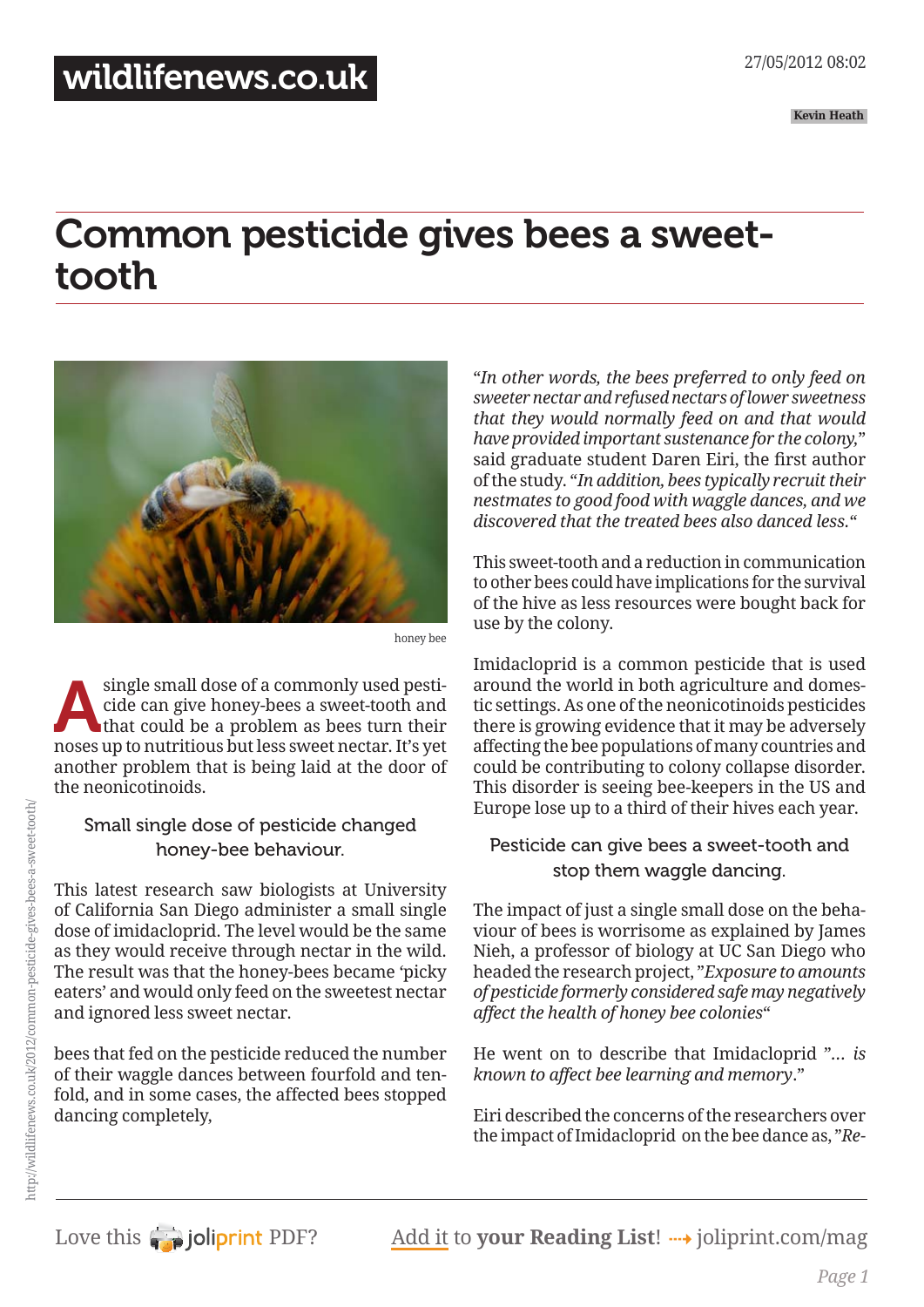## Common pesticide gives bees a sweettooth



honey bee

single small dose of a commonly used pesticide can give honey-bees a sweet-tooth and that could be a problem as bees turn their cide can give honey-bees a sweet-tooth and that could be a problem as bees turn their noses up to nutritious but less sweet nectar. It's yet another problem that is being laid at the door of the neonicotinoids.

## Small single dose of pesticide changed honey-bee behaviour.

This latest research saw biologists at University of California San Diego administer a small single dose of imidacloprid. The level would be the same as they would receive through nectar in the wild. The result was that the honey-bees became 'picky eaters' and would only feed on the sweetest nectar and ignored less sweet nectar.

bees that fed on the pesticide reduced the number of their waggle dances between fourfold and tenfold, and in some cases, the affected bees stopped dancing completely,

"*In other words, the bees preferred to only feed on sweeter nectar and refused nectars of lower sweetness that they would normally feed on and that would have provided important sustenance for the colony,*" said graduate student Daren Eiri, the first author of the study. "*In addition, bees typically recruit their nestmates to good food with waggle dances, and we discovered that the treated bees also danced less.*"

This sweet-tooth and a reduction in communication to other bees could have implications for the survival of the hive as less resources were bought back for use by the colony.

Imidacloprid is a common pesticide that is used around the world in both agriculture and domestic settings. As one of the neonicotinoids pesticides there is growing evidence that it may be adversely affecting the bee populations of many countries and could be contributing to colony collapse disorder. This disorder is seeing bee-keepers in the US and Europe lose up to a third of their hives each year.

## Pesticide can give bees a sweet-tooth and stop them waggle dancing.

The impact of just a single small dose on the behaviour of bees is worrisome as explained by James Nieh, a professor of biology at UC San Diego who headed the research project, "*Exposure to amounts of pesticide formerly considered safe may negatively affect the health of honey bee colonies*"

He went on to describe that Imidacloprid "*… is known to affect bee learning and memory*."

Eiri described the concerns of the researchers over the impact ofImidacloprid on the bee dance as, "*Re-*